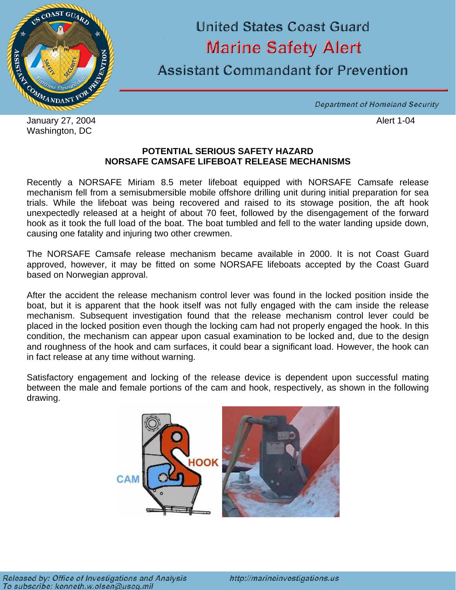

January 27, 2004 **Alert 1-04** Washington, DC

## **United States Coast Guard Marine Safety Alert**

Assistant Commandant for Prevention

Department of Homeland Security

### **POTENTIAL SERIOUS SAFETY HAZARD NORSAFE CAMSAFE LIFEBOAT RELEASE MECHANISMS**

Recently a NORSAFE Miriam 8.5 meter lifeboat equipped with NORSAFE Camsafe release mechanism fell from a semisubmersible mobile offshore drilling unit during initial preparation for sea trials. While the lifeboat was being recovered and raised to its stowage position, the aft hook unexpectedly released at a height of about 70 feet, followed by the disengagement of the forward hook as it took the full load of the boat. The boat tumbled and fell to the water landing upside down, causing one fatality and injuring two other crewmen.

The NORSAFE Camsafe release mechanism became available in 2000. It is not Coast Guard approved, however, it may be fitted on some NORSAFE lifeboats accepted by the Coast Guard based on Norwegian approval.

After the accident the release mechanism control lever was found in the locked position inside the boat, but it is apparent that the hook itself was not fully engaged with the cam inside the release mechanism. Subsequent investigation found that the release mechanism control lever could be placed in the locked position even though the locking cam had not properly engaged the hook. In this condition, the mechanism can appear upon casual examination to be locked and, due to the design and roughness of the hook and cam surfaces, it could bear a significant load. However, the hook can in fact release at any time without warning.

Satisfactory engagement and locking of the release device is dependent upon successful mating between the male and female portions of the cam and hook, respectively, as shown in the following drawing.

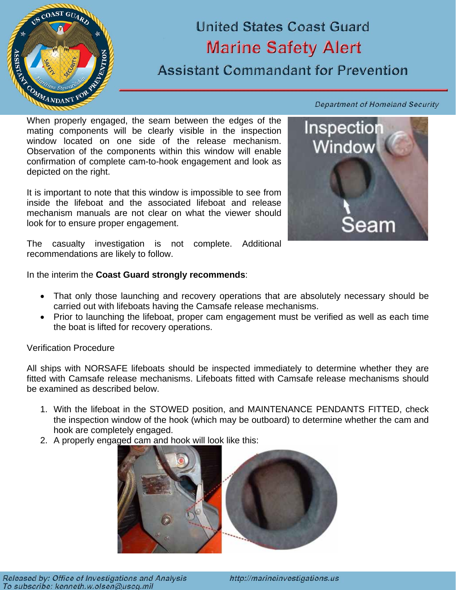

## **United States Coast Guard Marine Safety Alert**

## **Assistant Commandant for Prevention**

Department of Homeland Security

When properly engaged, the seam between the edges of the mating components will be clearly visible in the inspection window located on one side of the release mechanism. Observation of the components within this window will enable confirmation of complete cam-to-hook engagement and look as depicted on the right.

It is important to note that this window is impossible to see from inside the lifeboat and the associated lifeboat and release mechanism manuals are not clear on what the viewer should look for to ensure proper engagement.



The casualty investigation is not complete. Additional recommendations are likely to follow.

In the interim the **Coast Guard strongly recommends**:

- That only those launching and recovery operations that are absolutely necessary should be carried out with lifeboats having the Camsafe release mechanisms.
- Prior to launching the lifeboat, proper cam engagement must be verified as well as each time the boat is lifted for recovery operations.

Verification Procedure

All ships with NORSAFE lifeboats should be inspected immediately to determine whether they are fitted with Camsafe release mechanisms. Lifeboats fitted with Camsafe release mechanisms should be examined as described below.

- 1. With the lifeboat in the STOWED position, and MAINTENANCE PENDANTS FITTED, check the inspection window of the hook (which may be outboard) to determine whether the cam and hook are completely engaged.
- 2. A properly engaged cam and hook will look like this:



Released by: Office of Investigations and Analysis To subscribe: kenneth.w.olsen@uscq.mil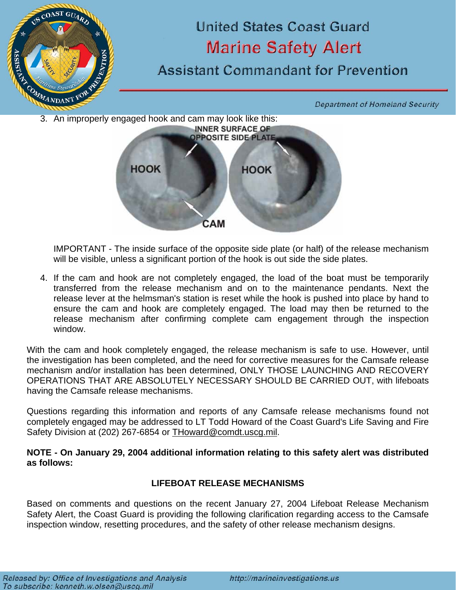

**HOOK** 

IMPORTANT - The inside surface of the opposite side plate (or half) of the release mechanism will be visible, unless a significant portion of the hook is out side the side plates.

CAM

**HOOK** 

4. If the cam and hook are not completely engaged, the load of the boat must be temporarily transferred from the release mechanism and on to the maintenance pendants. Next the release lever at the helmsman's station is reset while the hook is pushed into place by hand to ensure the cam and hook are completely engaged. The load may then be returned to the release mechanism after confirming complete cam engagement through the inspection window.

With the cam and hook completely engaged, the release mechanism is safe to use. However, until the investigation has been completed, and the need for corrective measures for the Camsafe release mechanism and/or installation has been determined, ONLY THOSE LAUNCHING AND RECOVERY OPERATIONS THAT ARE ABSOLUTELY NECESSARY SHOULD BE CARRIED OUT, with lifeboats having the Camsafe release mechanisms.

Questions regarding this information and reports of any Camsafe release mechanisms found not completely engaged may be addressed to LT Todd Howard of the Coast Guard's Life Saving and Fire Safety Division at (202) 267-6854 or THoward@comdt.uscg.mil.

**NOTE - On January 29, 2004 additional information relating to this safety alert was distributed as follows:**

### **LIFEBOAT RELEASE MECHANISMS**

Based on comments and questions on the recent January 27, 2004 Lifeboat Release Mechanism Safety Alert, the Coast Guard is providing the following clarification regarding access to the Camsafe inspection window, resetting procedures, and the safety of other release mechanism designs.